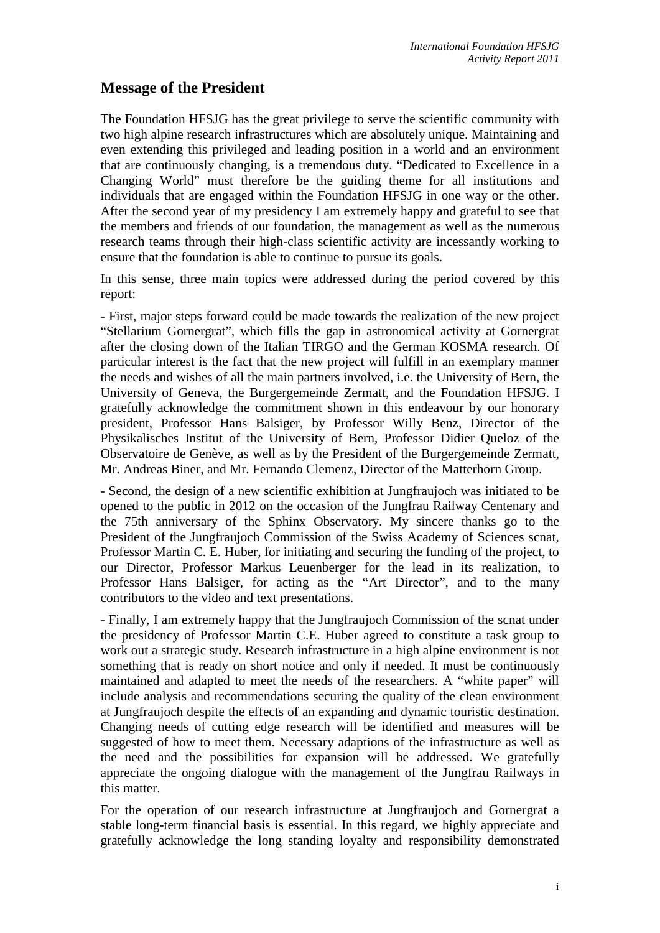## **Message of the President**

The Foundation HFSJG has the great privilege to serve the scientific community with two high alpine research infrastructures which are absolutely unique. Maintaining and even extending this privileged and leading position in a world and an environment that are continuously changing, is a tremendous duty. "Dedicated to Excellence in a Changing World" must therefore be the guiding theme for all institutions and individuals that are engaged within the Foundation HFSJG in one way or the other. After the second year of my presidency I am extremely happy and grateful to see that the members and friends of our foundation, the management as well as the numerous research teams through their high-class scientific activity are incessantly working to ensure that the foundation is able to continue to pursue its goals.

In this sense, three main topics were addressed during the period covered by this report:

- First, major steps forward could be made towards the realization of the new project "Stellarium Gornergrat", which fills the gap in astronomical activity at Gornergrat after the closing down of the Italian TIRGO and the German KOSMA research. Of particular interest is the fact that the new project will fulfill in an exemplary manner the needs and wishes of all the main partners involved, i.e. the University of Bern, the University of Geneva, the Burgergemeinde Zermatt, and the Foundation HFSJG. I gratefully acknowledge the commitment shown in this endeavour by our honorary president, Professor Hans Balsiger, by Professor Willy Benz, Director of the Physikalisches Institut of the University of Bern, Professor Didier Queloz of the Observatoire de Genève, as well as by the President of the Burgergemeinde Zermatt, Mr. Andreas Biner, and Mr. Fernando Clemenz, Director of the Matterhorn Group.

- Second, the design of a new scientific exhibition at Jungfraujoch was initiated to be opened to the public in 2012 on the occasion of the Jungfrau Railway Centenary and the 75th anniversary of the Sphinx Observatory. My sincere thanks go to the President of the Jungfraujoch Commission of the Swiss Academy of Sciences scnat, Professor Martin C. E. Huber, for initiating and securing the funding of the project, to our Director, Professor Markus Leuenberger for the lead in its realization, to Professor Hans Balsiger, for acting as the "Art Director", and to the many contributors to the video and text presentations.

- Finally, I am extremely happy that the Jungfraujoch Commission of the scnat under the presidency of Professor Martin C.E. Huber agreed to constitute a task group to work out a strategic study. Research infrastructure in a high alpine environment is not something that is ready on short notice and only if needed. It must be continuously maintained and adapted to meet the needs of the researchers. A "white paper" will include analysis and recommendations securing the quality of the clean environment at Jungfraujoch despite the effects of an expanding and dynamic touristic destination. Changing needs of cutting edge research will be identified and measures will be suggested of how to meet them. Necessary adaptions of the infrastructure as well as the need and the possibilities for expansion will be addressed. We gratefully appreciate the ongoing dialogue with the management of the Jungfrau Railways in this matter.

For the operation of our research infrastructure at Jungfraujoch and Gornergrat a stable long-term financial basis is essential. In this regard, we highly appreciate and gratefully acknowledge the long standing loyalty and responsibility demonstrated